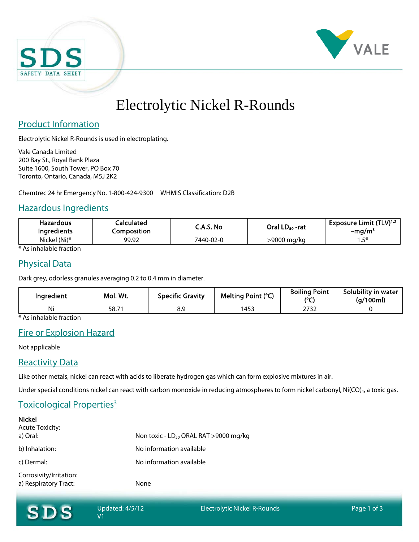



# Electrolytic Nickel R-Rounds

## Product Information

Electrolytic Nickel R-Rounds is used in electroplating.

Vale Canada Limited 200 Bay St., Royal Bank Plaza Suite 1600, South Tower, PO Box 70 Toronto, Ontario, Canada, M5J 2K2

Chemtrec 24 hr Emergency No. 1-800-424-9300 WHMIS Classification: D2B

## Hazardous Ingredients

| <b>Hazardous</b><br><b>Ingredients</b> | <b>Calculated</b><br>Composition | C.A.S. No | Oral LD <sub>50</sub> -rat | Exposure Limit $(TLV)^{1,2}$<br>-ma/m <sup>3</sup> |
|----------------------------------------|----------------------------------|-----------|----------------------------|----------------------------------------------------|
| Nickel (Ni)*                           | 99.92                            | 7440-02-0 | >9000 mg/kg                | に 米<br>                                            |

\* As inhalable fraction

## Physical Data

Dark grey, odorless granules averaging 0.2 to 0.4 mm in diameter.

| Ingredient | Mol. Wt. | <b>Specific Gravity</b> | Melting Point (°C) | <b>Boiling Point</b><br>10F | Solubility in water<br>(g/100ml) |
|------------|----------|-------------------------|--------------------|-----------------------------|----------------------------------|
| Ni         | 58.7     | 8.9                     | 453                | วรวา<br>2132                |                                  |

\* As inhalable fraction

# Fire or Explosion Hazard

Not applicable

### **Reactivity Data**

Like other metals, nickel can react with acids to liberate hydrogen gas which can form explosive mixtures in air.

Under special conditions nickel can react with carbon monoxide in reducing atmospheres to form nickel carbonyl, Ni(CO)<sub>4</sub>, a toxic gas.

# Toxicological Properties<sup>3</sup>

| <b>Nickel</b><br><b>Acute Toxicity:</b>          |                                             |
|--------------------------------------------------|---------------------------------------------|
| a) Oral:                                         | Non toxic - $LD_{50}$ ORAL RAT > 9000 mg/kg |
| b) Inhalation:                                   | No information available                    |
| c) Dermal:                                       | No information available                    |
| Corrosivity/Irritation:<br>a) Respiratory Tract: | None                                        |

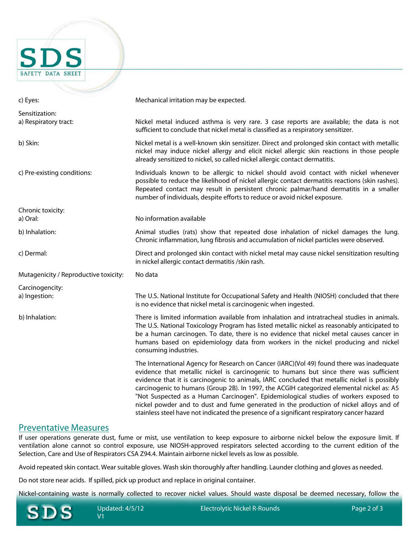

| c) Eyes:                                | Mechanical irritation may be expected.                                                                                                                                                                                                                                                                                                                                                                                                                                                                                                                                                                                                                           |
|-----------------------------------------|------------------------------------------------------------------------------------------------------------------------------------------------------------------------------------------------------------------------------------------------------------------------------------------------------------------------------------------------------------------------------------------------------------------------------------------------------------------------------------------------------------------------------------------------------------------------------------------------------------------------------------------------------------------|
| Sensitization:<br>a) Respiratory tract: | Nickel metal induced asthma is very rare. 3 case reports are available; the data is not<br>sufficient to conclude that nickel metal is classified as a respiratory sensitizer.                                                                                                                                                                                                                                                                                                                                                                                                                                                                                   |
| b) Skin:                                | Nickel metal is a well-known skin sensitizer. Direct and prolonged skin contact with metallic<br>nickel may induce nickel allergy and elicit nickel allergic skin reactions in those people<br>already sensitized to nickel, so called nickel allergic contact dermatitis.                                                                                                                                                                                                                                                                                                                                                                                       |
| c) Pre-existing conditions:             | Individuals known to be allergic to nickel should avoid contact with nickel whenever<br>possible to reduce the likelihood of nickel allergic contact dermatitis reactions (skin rashes).<br>Repeated contact may result in persistent chronic palmar/hand dermatitis in a smaller<br>number of individuals, despite efforts to reduce or avoid nickel exposure.                                                                                                                                                                                                                                                                                                  |
| Chronic toxicity:<br>a) Oral:           | No information available                                                                                                                                                                                                                                                                                                                                                                                                                                                                                                                                                                                                                                         |
| b) Inhalation:                          | Animal studies (rats) show that repeated dose inhalation of nickel damages the lung.<br>Chronic inflammation, lung fibrosis and accumulation of nickel particles were observed.                                                                                                                                                                                                                                                                                                                                                                                                                                                                                  |
| c) Dermal:                              | Direct and prolonged skin contact with nickel metal may cause nickel sensitization resulting<br>in nickel allergic contact dermatitis /skin rash.                                                                                                                                                                                                                                                                                                                                                                                                                                                                                                                |
| Mutagenicity / Reproductive toxicity:   | No data                                                                                                                                                                                                                                                                                                                                                                                                                                                                                                                                                                                                                                                          |
| Carcinogencity:<br>a) Ingestion:        | The U.S. National Institute for Occupational Safety and Health (NIOSH) concluded that there<br>is no evidence that nickel metal is carcinogenic when ingested.                                                                                                                                                                                                                                                                                                                                                                                                                                                                                                   |
| b) Inhalation:                          | There is limited information available from inhalation and intratracheal studies in animals.<br>The U.S. National Toxicology Program has listed metallic nickel as reasonably anticipated to<br>be a human carcinogen. To date, there is no evidence that nickel metal causes cancer in<br>humans based on epidemiology data from workers in the nickel producing and nickel<br>consuming industries.                                                                                                                                                                                                                                                            |
|                                         | The International Agency for Research on Cancer (IARC)(Vol 49) found there was inadequate<br>evidence that metallic nickel is carcinogenic to humans but since there was sufficient<br>evidence that it is carcinogenic to animals, IARC concluded that metallic nickel is possibly<br>carcinogenic to humans (Group 2B). In 1997, the ACGIH categorized elemental nickel as: A5<br>"Not Suspected as a Human Carcinogen". Epidemiological studies of workers exposed to<br>nickel powder and to dust and fume generated in the production of nickel alloys and of<br>stainless steel have not indicated the presence of a significant respiratory cancer hazard |

#### Preventative Measures

If user operations generate dust, fume or mist, use ventilation to keep exposure to airborne nickel below the exposure limit. If ventilation alone cannot so control exposure, use NIOSH-approved respirators selected according to the current edition of the Selection, Care and Use of Respirators CSA Z94.4. Maintain airborne nickel levels as low as possible.

Avoid repeated skin contact. Wear suitable gloves. Wash skin thoroughly after handling. Launder clothing and gloves as needed.

Do not store near acids. If spilled, pick up product and replace in original container.

Nickel-containing waste is normally collected to recover nickel values. Should waste disposal be deemed necessary, follow the